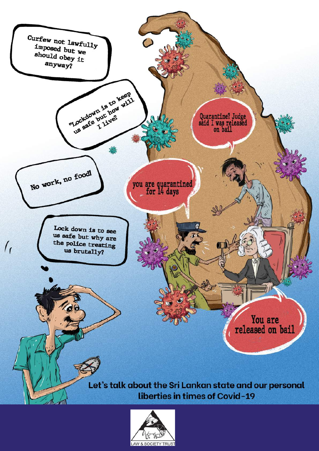

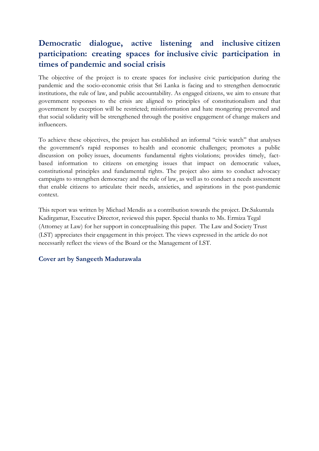## **Democratic dialogue, active listening and inclusive citizen participation: creating spaces for inclusive civic participation in times of pandemic and social crisis**

The objective of the project is to create spaces for inclusive civic participation during the pandemic and the socio-economic crisis that Sri Lanka is facing and to strengthen democratic institutions, the rule of law, and public accountability. As engaged citizens, we aim to ensure that government responses to the crisis are aligned to principles of constitutionalism and that government by exception will be restricted; misinformation and hate mongering prevented and that social solidarity will be strengthened through the positive engagement of change makers and influencers.

To achieve these objectives, the project has established an informal "civic watch" that analyses the government's rapid responses to health and economic challenges; promotes a public discussion on policy issues, documents fundamental rights violations; provides timely, factbased information to citizens on emerging issues that impact on democratic values, constitutional principles and fundamental rights. The project also aims to conduct advocacy campaigns to strengthen democracy and the rule of law, as well as to conduct a needs assessment that enable citizens to articulate their needs, anxieties, and aspirations in the post-pandemic context.

This report was written by Michael Mendis as a contribution towards the project. Dr.Sakuntala Kadirgamar, Executive Director, reviewed this paper. Special thanks to Ms. Ermiza Tegal (Attorney at Law) for her support in conceptualising this paper. The Law and Society Trust (LST) appreciates their engagement in this project. The views expressed in the article do not necessarily reflect the views of the Board or the Management of LST.

## **Cover art by Sangeeth Madurawala**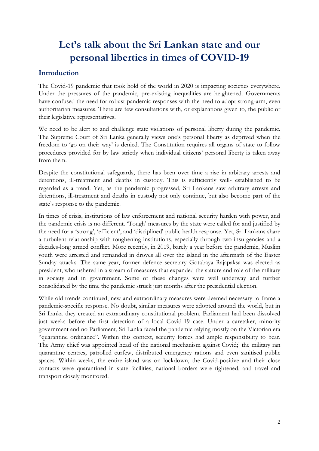# **Let's talk about the Sri Lankan state and our personal liberties in times of COVID-19**

## **Introduction**

The Covid-19 pandemic that took hold of the world in 2020 is impacting societies everywhere. Under the pressures of the pandemic, pre-existing inequalities are heightened. Governments have confused the need for robust pandemic responses with the need to adopt strong-arm, even authoritarian measures. There are few consultations with, or explanations given to, the public or their legislative representatives.

We need to be alert to and challenge state violations of personal liberty during the pandemic. The Supreme Court of Sri Lanka generally views one's personal liberty as deprived when the freedom to 'go on their way' is denied. The Constitution requires all organs of state to follow procedures provided for by law strictly when individual citizens' personal liberty is taken away from them.

Despite the constitutional safeguards, there has been over time a rise in arbitrary arrests and detentions, ill-treatment and deaths in custody. This is sufficiently well- established to be regarded as a trend. Yet, as the pandemic progressed, Sri Lankans saw arbitrary arrests and detentions, ill-treatment and deaths in custody not only continue, but also become part of the state's response to the pandemic.

In times of crisis, institutions of law enforcement and national security harden with power, and the pandemic crisis is no different. 'Tough' measures by the state were called for and justified by the need for a 'strong', 'efficient', and 'disciplined' public health response. Yet, Sri Lankans share a turbulent relationship with toughening institutions, especially through two insurgencies and a decades-long armed conflict. More recently, in 2019, barely a year before the pandemic, Muslim youth were arrested and remanded in droves all over the island in the aftermath of the Easter Sunday attacks. The same year, former defence secretary Gotabaya Rajapaksa was elected as president, who ushered in a stream of measures that expanded the stature and role of the military in society and in government. Some of these changes were well underway and further consolidated by the time the pandemic struck just months after the presidential election.

While old trends continued, new and extraordinary measures were deemed necessary to frame a pandemic-specific response. No doubt, similar measures were adopted around the world, but in Sri Lanka they created an extraordinary constitutional problem. Parliament had been dissolved just weeks before the first detection of a local Covid-19 case. Under a caretaker, minority government and no Parliament, Sri Lanka faced the pandemic relying mostly on the Victorian era "quarantine ordinance". Within this context, security forces had ample responsibility to bear. The Army chief was appointed head of the national mechanism against Covid;<sup>1</sup> the military ran quarantine centres, patrolled curfew, distributed emergency rations and even sanitised public spaces. Within weeks, the entire island was on lockdown, the Covid-positive and their close contacts were quarantined in state facilities, national borders were tightened, and travel and transport closely monitored.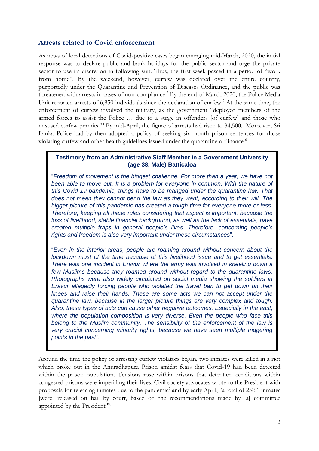## **Arrests related to Covid enforcement**

As news of local detections of Covid-positive cases began emerging mid-March, 2020, the initial response was to declare public and bank holidays for the public sector and urge the private sector to use its discretion in following suit. Thus, the first week passed in a period of "work from home". By the weekend, however, curfew was declared over the entire country, purportedly under the Quarantine and Prevention of Diseases Ordinance, and the public was threatened with arrests in cases of non-compliance.<sup>2</sup> By the end of March 2020, the Police Media Unit reported arrests of 6,850 individuals since the declaration of curfew.<sup>3</sup> At the same time, the enforcement of curfew involved the military, as the government "deployed members of the armed forces to assist the Police … due to a surge in offenders [of curfew] and those who misused curfew permits."<sup>4</sup> By mid-April, the figure of arrests had risen to 34,500.<sup>5</sup> Moreover, Sri Lanka Police had by then adopted a policy of seeking six-month prison sentences for those violating curfew and other health guidelines issued under the quarantine ordinance.<sup>6</sup>

#### **Testimony from an Administrative Staff Member in a Government University (age 38, Male) Batticaloa**

"*Freedom of movement is the biggest challenge. For more than a year, we have not*  been able to move out. It is a problem for everyone in common. With the nature of *this Covid 19 pandemic, things have to be manged under the quarantine law. That does not mean they cannot bend the law as they want, according to their will. The bigger picture of this pandemic has created a tough time for everyone more or less. Therefore, keeping all these rules considering that aspect is important, because the loss of livelihood, stable financial background, as well as the lack of essentials, have created multiple traps in general people's lives. Therefore, concerning people's rights and freedom is also very important under these circumstances*".

"*Even in the interior areas, people are roaming around without concern about the lockdown most of the time because of this livelihood issue and to get essentials. There was one incident in Eravur where the army was involved in kneeling down a few Muslims because they roamed around without regard to the quarantine laws. Photographs were also widely circulated on social media showing the soldiers in Eravur allegedly forcing people who violated the travel ban to get down on their knees and raise their hands. These are some acts we can not accept under the quarantine law, because in the larger picture things are very complex and tough. Also, these types of acts can cause other negative outcomes. Especially in the east, where the population composition is very diverse. Even the people who face this belong to the Muslim community. The sensibility of the enforcement of the law is very crucial concerning minority rights, because we have seen multiple triggering points in the past"*.

Around the time the policy of arresting curfew violators began, two inmates were killed in a riot which broke out in the Anuradhapura Prison amidst fears that Covid-19 had been detected within the prison population. Tensions rose within prisons that detention conditions within congested prisons were imperilling their lives. Civil society advocates wrote to the President with proposals for releasing inmates due to the pandemic<sup>7</sup> and by early April, "a total of 2,961 inmates [were] released on bail by court, based on the recommendations made by [a] committee appointed by the President."<sup>8</sup>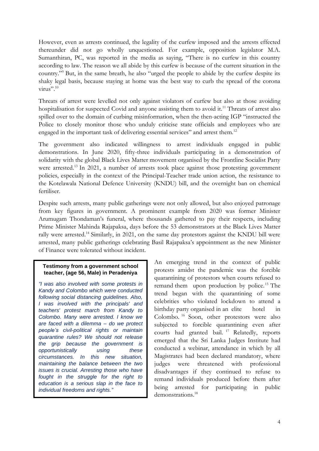However, even as arrests continued, the legality of the curfew imposed and the arrests effected thereunder did not go wholly unquestioned. For example, opposition legislator M.A. Sumanthiran, PC, was reported in the media as saying, "There is no curfew in this country according to law. The reason we all abide by this curfew is because of the current situation in the country."<sup>9</sup> But, in the same breath, he also "urged the people to abide by the curfew despite its shaky legal basis, because staying at home was the best way to curb the spread of the corona virus".<sup>10</sup>

Threats of arrest were levelled not only against violators of curfew but also at those avoiding hospitalisation for suspected Covid and anyone assisting them to avoid it.<sup>11</sup> Threats of arrest also spilled over to the domain of curbing misinformation, when the then-acting IGP "instructed the Police to closely monitor those who unduly criticise state officials and employees who are engaged in the important task of delivering essential services" and arrest them.<sup>12</sup>

The government also indicated willingness to arrest individuals engaged in public demonstrations. In June 2020, fifty-three individuals participating in a demonstration of solidarity with the global Black Lives Matter movement organised by the Frontline Socialist Party were arrested.<sup>13</sup> In 2021, a number of arrests took place against those protesting government policies, especially in the context of the Principal-Teacher trade union action, the resistance to the Kotelawala National Defence University (KNDU) bill, and the overnight ban on chemical fertiliser.

Despite such arrests, many public gatherings were not only allowed, but also enjoyed patronage from key figures in government. A prominent example from 2020 was former Minister Arumugam Thondaman's funeral, where thousands gathered to pay their respects, including Prime Minister Mahinda Rajapaksa, days before the 53 demonstrators at the Black Lives Matter rally were arrested.<sup>14</sup> Similarly, in 2021, on the same day protestors against the KNDU bill were arrested, many public gatherings celebrating Basil Rajapaksa's appointment as the new Minister of Finance were tolerated without incident.

#### **Testimony from a government school teacher, (age 56, Male) in Peradeniya**

*"I was also involved with some protests in Kandy and Colombo which were conducted following social distancing guidelines. Also, I was involved with the principals' and teachers' protest march from Kandy to Colombo. Many were arrested. I know we are faced with a dilemma – do we protect people's civil-political rights or maintain quarantine rules? We should not release the grip because the government is opportunistically using these circumstances. In this new situation, maintaining the balance between the two issues is crucial. Arresting those who have fought in the struggle for the right to education is a serious slap in the face to individual freedoms and rights."* 

An emerging trend in the context of public protests amidst the pandemic was the forcible quarantining of protestors when courts refused to remand them upon production by police.<sup>15</sup> The trend began with the quarantining of some celebrities who violated lockdown to attend a birthday party organised in an elite hotel in Colombo. <sup>16</sup> Soon, other protestors were also subjected to forcible quarantining even after courts had granted bail. <sup>17</sup> Relatedly, reports emerged that the Sri Lanka Judges Institute had conducted a webinar, attendance in which by all Magistrates had been declared mandatory, where judges were threatened with professional disadvantages if they continued to refuse to remand individuals produced before them after being arrested for participating in public demonstrations.<sup>18</sup>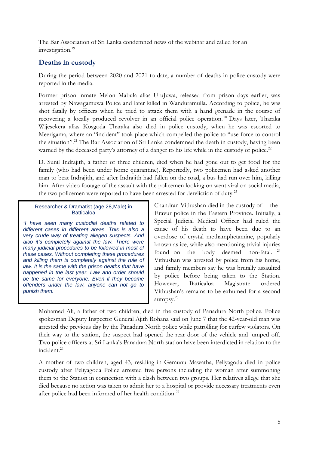The Bar Association of Sri Lanka condemned news of the webinar and called for an investigation.<sup>19</sup>

## **Deaths in custody**

During the period between 2020 and 2021 to date, a number of deaths in police custody were reported in the media.

Former prison inmate Melon Mabula alias UruJuwa, released from prison days earlier, was arrested by Nawagamuwa Police and later killed in Wanduramulla. According to police, he was shot fatally by officers when he tried to attack them with a hand grenade in the course of recovering a locally produced revolver in an official police operation.<sup>20</sup> Days later, Tharaka Wijesekera alias Kosgoda Tharaka also died in police custody, when he was escorted to Meerigama, where an "incident" took place which compelled the police to "use force to control the situation".<sup>21</sup> The Bar Association of Sri Lanka condemned the death in custody, having been warned by the deceased party's attorney of a danger to his life while in the custody of police.<sup>22</sup>

D. Sunil Indrajith, a father of three children, died when he had gone out to get food for the family (who had been under home quarantine). Reportedly, two policemen had asked another man to beat Indrajith, and after Indrajith had fallen on the road, a bus had run over him, killing him. After video footage of the assault with the policemen looking on went viral on social media, the two policemen were reported to have been arrested for dereliction of duty.<sup>23</sup>

#### Researcher & Dramatist (age 28,Male) in **Batticaloa**

*"I have seen many custodial deaths related to different cases in different areas. This is also a very crude way of treating alleged suspects. And also it's completely against the law. There were many judicial procedures to be followed in most of these cases. Without completing these procedures and killing them is completely against the rule of law. It is the same with the prison deaths that have happened in the last year. Law and order should be the same for everyone. Even if they become offenders under the law, anyone can not go to punish them.*

Chandran Vithushan died in the custody of the Eravur police in the Eastern Province. Initially, a Special Judicial Medical Officer had ruled the cause of his death to have been due to an overdose of crystal methamphetamine, popularly known as ice, while also mentioning trivial injuries found on the body deemed non-fatal.<sup>24</sup> Vithushan was arrested by police from his home, and family members say he was brutally assaulted by police before being taken to the Station. However, Batticaloa Magistrate ordered Vithushan's remains to be exhumed for a second autopsy.<sup>25</sup>

Mohamed Ali, a father of two children, died in the custody of Panadura North police. Police spokesman Deputy Inspector General Ajith Rohana said on June 7 that the 42-year-old man was arrested the previous day by the Panadura North police while patrolling for curfew violators. On their way to the station, the suspect had opened the rear door of the vehicle and jumped off. Two police officers at Sri Lanka's Panadura North station have been interdicted in relation to the incident.<sup>26</sup>

A mother of two children, aged 43, residing in Gemunu Mawatha, Peliyagoda died in police custody after Peliyagoda Police arrested five persons including the woman after summoning them to the Station in connection with a clash between two groups. Her relatives allege that she died because no action was taken to admit her to a hospital or provide necessary treatments even after police had been informed of her health condition.<sup>27</sup>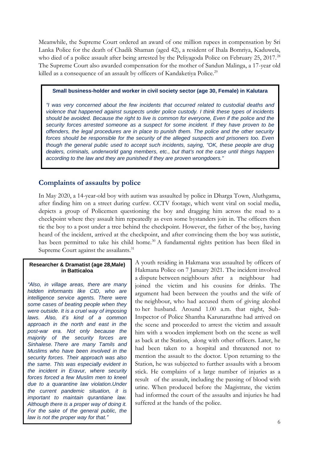Meanwhile, the Supreme Court ordered an award of one million rupees in compensation by Sri Lanka Police for the death of Chadik Shaman (aged 42), a resident of Ihala Bomriya, Kaduwela, who died of a police assault after being arrested by the Peliyagoda Police on February 25, 2017.<sup>28</sup> The Supreme Court also awarded compensation for the mother of Sandun Malinga, a 17-year old killed as a consequence of an assault by officers of Kandaketiya Police.<sup>29</sup>

#### **Small business-holder and worker in civil society sector (age 30, Female) in Kalutara**

*"I was very concerned about the few incidents that occurred related to custodial deaths and violence that happened against suspects under police custody. I think these types of incidents should be avoided. Because the right to live is common for everyone, Even if the police and the security forces arrested someone as a suspect for some incident. If they have proven to be offenders, the legal procedures are in place to punish them. The police and the other security forces should be responsible for the security of the alleged suspects and prisoners too. Even though the general public used to accept such incidents, saying, "OK, these people are drug dealers, criminals, underworld gang members, etc., but that's not the case until things happen according to the law and they are punished if they are proven wrongdoers."*

## **Complaints of assaults by police**

In May 2020, a 14-year-old boy with autism was assaulted by police in Dharga Town, Aluthgama, after finding him on a street during curfew. CCTV footage, which went viral on social media, depicts a group of Policemen questioning the boy and dragging him across the road to a checkpoint where they assault him repeatedly as even some bystanders join in. The officers then tie the boy to a post under a tree behind the checkpoint. However, the father of the boy, having heard of the incident, arrived at the checkpoint, and after convincing them the boy was autistic, has been permitted to take his child home.<sup>30</sup> A fundamental rights petition has been filed in Supreme Court against the assailants.<sup>31</sup>

#### **Researcher & Dramatist (age 28,Male) in Batticaloa**

*"Also, in village areas, there are many hidden informants like CID, who are intelligence service agents. There were some cases of beating people when they were outside. It is a cruel way of imposing laws. Also, it's kind of a common approach in the north and east in the post-war era. Not only because the majority of the security forces are Sinhalese. There are many Tamils and Muslims who have been involved in the security forces. Their approach was also the same. This was especially evident in the incident in Eravur, where security forces forced a few Muslim men to kneel due to a quarantine law violation.Under the current pandemic situation, it is important to maintain qurantiane law. Although there is a proper way of doing it. For the sake of the general public, the law is not the proper way for that."*

A youth residing in Hakmana was assaulted by officers of Hakmana Police on 7 January 2021. The incident involved a dispute between neighbours after a neighbour had joined the victim and his cousins for drinks. The argument had been between the youths and the wife of the neighbour, who had accused them of giving alcohol to her husband. Around 1.00 a.m. that night, Sub-Inspector of Police Shantha Karunarathne had arrived on the scene and proceeded to arrest the victim and assault him with a wooden implement both on the scene as well as back at the Station, along with other officers. Later, he had been taken to a hospital and threatened not to mention the assault to the doctor. Upon returning to the Station, he was subjected to further assaults with a broom stick. He complains of a large number of injuries as a result of the assault, including the passing of blood with urine. When produced before the Magistrate, the victim had informed the court of the assaults and injuries he had suffered at the hands of the police.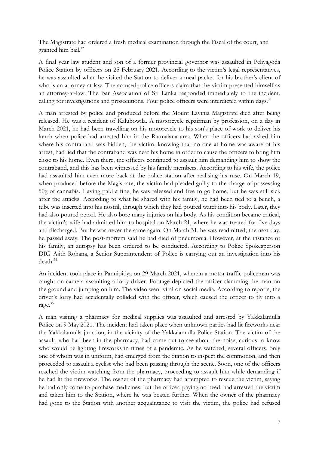The Magistrate had ordered a fresh medical examination through the Fiscal of the court, and granted him bail.<sup>32</sup>

A final year law student and son of a former provincial governor was assaulted in Peliyagoda Police Station by officers on 25 February 2021. According to the victim's legal representatives, he was assaulted when he visited the Station to deliver a meal packet for his brother's client of who is an attorney-at-law. The accused police officers claim that the victim presented himself as an attorney-at-law. The Bar Association of Sri Lanka responded immediately to the incident, calling for investigations and prosecutions. Four police officers were interdicted within days.<sup>33</sup>

A man arrested by police and produced before the Mount Lavinia Magistrate died after being released. He was a resident of Kalubowila. A motorcycle repairman by profession, on a day in March 2021, he had been travelling on his motorcycle to his son's place of work to deliver his lunch when police had arrested him in the Ratmalana area. When the officers had asked him where his contraband was hidden, the victim, knowing that no one at home was aware of his arrest, had lied that the contraband was near his home in order to cause the officers to bring him close to his home. Even there, the officers continued to assault him demanding him to show the contraband, and this has been witnessed by his family members. According to his wife, the police had assaulted him even more back at the police station after realising his ruse. On March 19, when produced before the Magistrate, the victim had pleaded guilty to the charge of possessing 50g of cannabis. Having paid a fine, he was released and free to go home, but he was still sick after the attacks. According to what he shared with his family, he had been tied to a bench, a tube was inserted into his nostril, through which they had poured water into his body. Later, they had also poured petrol. He also bore many injuries on his body. As his condition became critical, the victim's wife had admitted him to hospital on March 21, where he was treated for five days and discharged. But he was never the same again. On March 31, he was readmitted; the next day, he passed away. The post-mortem said he had died of pneumonia. However, at the instance of his family, an autopsy has been ordered to be conducted. According to Police Spokesperson DIG Ajith Rohana, a Senior Superintendent of Police is carrying out an investigation into his death.<sup>34</sup>

An incident took place in Pannipitiya on 29 March 2021, wherein a motor traffic policeman was caught on camera assaulting a lorry driver. Footage depicted the officer slamming the man on the ground and jumping on him. The video went viral on social media. According to reports, the driver's lorry had accidentally collided with the officer, which caused the officer to fly into a rage.<sup>35</sup>

A man visiting a pharmacy for medical supplies was assaulted and arrested by Yakkalamulla Police on 9 May 2021. The incident had taken place when unknown parties had lit fireworks near the Yakkalamulla junction, in the vicinity of the Yakkalamulla Police Station. The victim of the assault, who had been in the pharmacy, had come out to see about the noise, curious to know who would be lighting fireworks in times of a pandemic. As he watched, several officers, only one of whom was in uniform, had emerged from the Station to inspect the commotion, and then proceeded to assault a cyclist who had been passing through the scene. Soon, one of the officers reached the victim watching from the pharmacy, proceeding to assault him while demanding if he had lit the fireworks. The owner of the pharmacy had attempted to rescue the victim, saying he had only come to purchase medicines, but the officer, paying no heed, had arrested the victim and taken him to the Station, where he was beaten further. When the owner of the pharmacy had gone to the Station with another acquaintance to visit the victim, the police had refused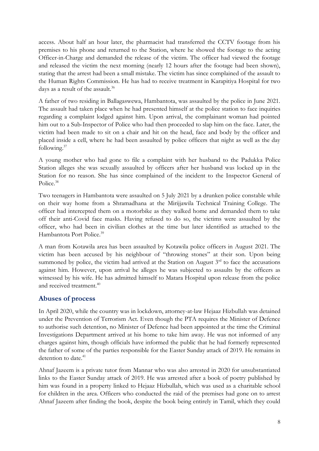access. About half an hour later, the pharmacist had transferred the CCTV footage from his premises to his phone and returned to the Station, where he showed the footage to the acting Officer-in-Charge and demanded the release of the victim. The officer had viewed the footage and released the victim the next morning (nearly 12 hours after the footage had been shown), stating that the arrest had been a small mistake. The victim has since complained of the assault to the Human Rights Commission. He has had to receive treatment in Karapitiya Hospital for two days as a result of the assault.<sup>36</sup>

A father of two residing in Ballagaswewa, Hambantota, was assaulted by the police in June 2021. The assault had taken place when he had presented himself at the police station to face inquiries regarding a complaint lodged against him. Upon arrival, the complainant woman had pointed him out to a Sub-Inspector of Police who had then proceeded to slap him on the face. Later, the victim had been made to sit on a chair and hit on the head, face and body by the officer and placed inside a cell, where he had been assaulted by police officers that night as well as the day following.<sup>37</sup>

A young mother who had gone to file a complaint with her husband to the Padukka Police Station alleges she was sexually assaulted by officers after her husband was locked up in the Station for no reason. She has since complained of the incident to the Inspector General of Police.<sup>38</sup>

Two teenagers in Hambantota were assaulted on 5 July 2021 by a drunken police constable while on their way home from a Shramadhana at the Mirijjawila Technical Training College. The officer had intercepted them on a motorbike as they walked home and demanded them to take off their anti-Covid face masks. Having refused to do so, the victims were assaulted by the officer, who had been in civilian clothes at the time but later identified as attached to the Hambantota Port Police.<sup>39</sup>

A man from Kotawila area has been assaulted by Kotawila police officers in August 2021. The victim has been accused by his neighbour of "throwing stones" at their son. Upon being summoned by police, the victim had arrived at the Station on August  $3<sup>rd</sup>$  to face the accusations against him. However, upon arrival he alleges he was subjected to assaults by the officers as witnessed by his wife. He has admitted himself to Matara Hospital upon release from the police and received treatment.<sup>40</sup>

## **Abuses of process**

In April 2020, while the country was in lockdown, attorney-at-law Hejaaz Hizbullah was detained under the Prevention of Terrorism Act. Even though the PTA requires the Minister of Defence to authorise such detention, no Minister of Defence had been appointed at the time the Criminal Investigations Department arrived at his home to take him away. He was not informed of any charges against him, though officials have informed the public that he had formerly represented the father of some of the parties responsible for the Easter Sunday attack of 2019. He remains in detention to date.<sup>41</sup>

Ahnaf Jazeem is a private tutor from Mannar who was also arrested in 2020 for unsubstantiated links to the Easter Sunday attack of 2019. He was arrested after a book of poetry published by him was found in a property linked to Hejaaz Hizbullah, which was used as a charitable school for children in the area. Officers who conducted the raid of the premises had gone on to arrest Ahnaf Jazeem after finding the book, despite the book being entirely in Tamil, which they could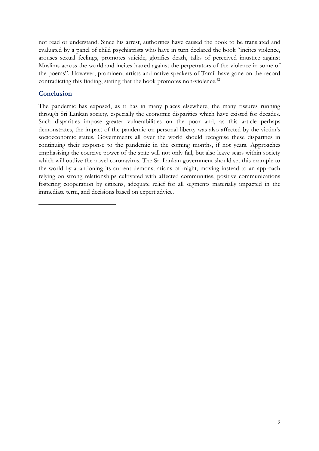not read or understand. Since his arrest, authorities have caused the book to be translated and evaluated by a panel of child psychiatrists who have in turn declared the book "incites violence, arouses sexual feelings, promotes suicide, glorifies death, talks of perceived injustice against Muslims across the world and incites hatred against the perpetrators of the violence in some of the poems". However, prominent artists and native speakers of Tamil have gone on the record contradicting this finding, stating that the book promotes non-violence.<sup>42</sup>

## **Conclusion**

The pandemic has exposed, as it has in many places elsewhere, the many fissures running through Sri Lankan society, especially the economic disparities which have existed for decades. Such disparities impose greater vulnerabilities on the poor and, as this article perhaps demonstrates, the impact of the pandemic on personal liberty was also affected by the victim's socioeconomic status. Governments all over the world should recognise these disparities in continuing their response to the pandemic in the coming months, if not years. Approaches emphasising the coercive power of the state will not only fail, but also leave scars within society which will outlive the novel coronavirus. The Sri Lankan government should set this example to the world by abandoning its current demonstrations of might, moving instead to an approach relying on strong relationships cultivated with affected communities, positive communications fostering cooperation by citizens, adequate relief for all segments materially impacted in the immediate term, and decisions based on expert advice.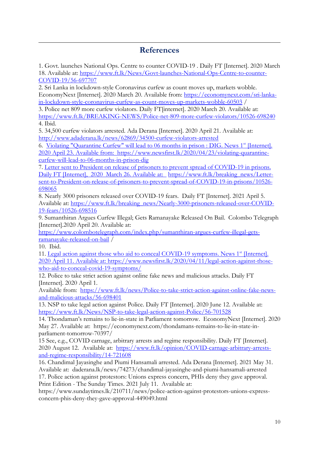## **References**

1. [Govt. launches National Ops. Centre to counter COVID-19 . Daily FT](https://www.ft.lk/News/Govt-launches-National-Ops-Centre-to-counter-COVID-19/56-697707) [Internet]. 2020 March 18. Available at: [https://www.ft.lk/News/Govt-launches-National-Ops-Centre-to-counter-](https://www.ft.lk/News/Govt-launches-National-Ops-Centre-to-counter-COVID-19/56-697707)[COVID-19/56-697707](https://www.ft.lk/News/Govt-launches-National-Ops-Centre-to-counter-COVID-19/56-697707) 

2. [Sri Lanka in lockdown-style Coronavirus curfew as count moves up, markets wobble.](https://economynext.com/sri-lanka-in-lockdown-style-coronavirus-curfew-as-count-moves-up-markets-wobble-60503/)  [EconomyNext](https://economynext.com/sri-lanka-in-lockdown-style-coronavirus-curfew-as-count-moves-up-markets-wobble-60503/) [Internet]. 2020 March 20. Available from: [https://economynext.com/sri-lanka](https://economynext.com/sri-lanka-in-lockdown-style-coronavirus-curfew-as-count-moves-up-markets-wobble-60503)[in-lockdown-style-coronavirus-curfew-as-count-moves-up-markets-wobble-60503](https://economynext.com/sri-lanka-in-lockdown-style-coronavirus-curfew-as-count-moves-up-markets-wobble-60503) /

3. [Police net 809 more curfew violators. Daily FT\[](https://www.ft.lk/breaking_news/Police-net-809-more-curfew-violators/10526-698240)internet]. 2020 March 20. Available at: <https://www.ft.lk/BREAKING-NEWS/Police-net-809-more-curfew-violators/10526-698240> 4. Ibid.

5. [34,500 curfew violators arrested. Ada Derana \[Internet\]. 2020 April 21. Available at:](http://www.adaderana.lk/news/62869/34500-curfew-violators-arrested)  <http://www.adaderana.lk/news/62869/34500-curfew-violators-arrested>

6. [Violating "Quarantine Curfew" will lead to 06 months in prison : DIG. News 1](../../../../../../Downloads/Violating%20%22Quarantine%20Curfew%22%20will%20lead%20to%2006%20months%20in%20prison%20:%20DIG.%20News%201st%20%5bInternet%5d.%202020%20April%2023.%20Available%20from:%20%20https:/www.newsfirst.lk/2020/04/23/violating-quarantine-curfew-will-lead-to-06-months-in-prison-dig%20%20%20%20%20%20%20(newsfirst.lk))st [Internet]. [2020 April 23. Available from: https://www.newsfirst.lk/2020/04/23/violating-quarantine](../../../../../../Downloads/Violating%20%22Quarantine%20Curfew%22%20will%20lead%20to%2006%20months%20in%20prison%20:%20DIG.%20News%201st%20%5bInternet%5d.%202020%20April%2023.%20Available%20from:%20%20https:/www.newsfirst.lk/2020/04/23/violating-quarantine-curfew-will-lead-to-06-months-in-prison-dig%20%20%20%20%20%20%20(newsfirst.lk))[curfew-will-lead-to-06-months-in-prison-dig](../../../../../../Downloads/Violating%20%22Quarantine%20Curfew%22%20will%20lead%20to%2006%20months%20in%20prison%20:%20DIG.%20News%201st%20%5bInternet%5d.%202020%20April%2023.%20Available%20from:%20%20https:/www.newsfirst.lk/2020/04/23/violating-quarantine-curfew-will-lead-to-06-months-in-prison-dig%20%20%20%20%20%20%20(newsfirst.lk)) 

7. [Letter sent to President on release of prisoners to prevent spread of COVID-19 in prisons.](Letter%20sent%20to%20President%20on%20release%20of%20prisoners%20to%20prevent%20spread%20of%20COVID-19%20in%20prisons.%20Daily%20FT%20%5bInternet%5d,%20%202020%20%20March%2026.%20Available%20at:%20%20)  [Daily FT \[Internet\], 2020 March 26. Available at:](Letter%20sent%20to%20President%20on%20release%20of%20prisoners%20to%20prevent%20spread%20of%20COVID-19%20in%20prisons.%20Daily%20FT%20%5bInternet%5d,%20%202020%20%20March%2026.%20Available%20at:%20%20) [https://www.ft.lk/breaking\\_news/Letter](https://www.ft.lk/breaking_news/Letter-sent-to-President-on-release-of-prisoners-to-prevent-spread-of-COVID-19-in-prisons/10526-698065)[sent-to-President-on-release-of-prisoners-to-prevent-spread-of-COVID-19-in-prisons/10526-](https://www.ft.lk/breaking_news/Letter-sent-to-President-on-release-of-prisoners-to-prevent-spread-of-COVID-19-in-prisons/10526-698065) [698065](https://www.ft.lk/breaking_news/Letter-sent-to-President-on-release-of-prisoners-to-prevent-spread-of-COVID-19-in-prisons/10526-698065) 

8. [Nearly 3000 prisoners released over COVID-19 fears. Daily FT](https://www.ft.lk/breaking_news/Nearly-3000-prisoners-released-over-COVID-19-fears/10526-698516) [Internet]. 2021 April 5. Available at: [https://www.ft.lk/breaking\\_news/Nearly-3000-prisoners-released-over-COVID-](https://www.ft.lk/breaking_news/Nearly-3000-prisoners-released-over-COVID-19-fears/10526-698516)[19-fears/10526-698516](https://www.ft.lk/breaking_news/Nearly-3000-prisoners-released-over-COVID-19-fears/10526-698516)

9. Sumanthiran Argues Curfew Illegal; [Gets Ramanayake Released On Bail. Colombo Telegraph](https://www.colombotelegraph.com/index.php/sumanthiran-argues-curfew-illegal-gets-ramanayake-released-on-bail/) [Internet].2020 April 20. Available at:

[https://www.colombotelegraph.com/index.php/sumanthiran-argues-curfew-illegal-gets](https://www.colombotelegraph.com/index.php/sumanthiran-argues-curfew-illegal-gets-ramanayake-released-on-bail)[ramanayake-released-on-bail](https://www.colombotelegraph.com/index.php/sumanthiran-argues-curfew-illegal-gets-ramanayake-released-on-bail) /

10. Ibid.

11. [Legal action against those who aid to conceal COVID-19 symptoms. News 1](../../../../../../Downloads/Legal%20action%20against%20those%20who%20aid%20to%20conceal%20COVID-19%20symptoms.%20News%201st%20%5bInternet%5d.%202020%20April%2011.%20Available%20at:%20https:/www.newsfirst.lk/2020/04/11/legal-action-against-those-who-aid-to-conceal-covid-19-symptoms/)<sup>st</sup> [Internet]. [2020 April 11. Available at: https://www.newsfirst.lk/2020/04/11/legal-action-against-those](../../../../../../Downloads/Legal%20action%20against%20those%20who%20aid%20to%20conceal%20COVID-19%20symptoms.%20News%201st%20%5bInternet%5d.%202020%20April%2011.%20Available%20at:%20https:/www.newsfirst.lk/2020/04/11/legal-action-against-those-who-aid-to-conceal-covid-19-symptoms/)[who-aid-to-conceal-covid-19-symptoms/](../../../../../../Downloads/Legal%20action%20against%20those%20who%20aid%20to%20conceal%20COVID-19%20symptoms.%20News%201st%20%5bInternet%5d.%202020%20April%2011.%20Available%20at:%20https:/www.newsfirst.lk/2020/04/11/legal-action-against-those-who-aid-to-conceal-covid-19-symptoms/) 

12. [Police to take strict action against online fake news and malicious attacks. Daily FT](https://www.ft.lk/BREAKING-NEWS/Police-to-take-strict-action-against-online-fake-news-and-malicious-attacks/10526-698367) [Internet]. 2020 April 1.

Available from: [https://www.ft.lk/news/Police-to-take-strict-action-against-online-fake-news](https://www.ft.lk/news/Police-to-take-strict-action-against-online-fake-news-and-malicious-attacks/56-698401)[and-malicious-attacks/56-698401](https://www.ft.lk/news/Police-to-take-strict-action-against-online-fake-news-and-malicious-attacks/56-698401)

13. [NSP to take legal action against Police. Daily FT](https://www.ft.lk/News/NSP-to-take-legal-action-against-Police/56-701528) [Internet]. 2020 June 12. Available at: <https://www.ft.lk/News/NSP-to-take-legal-action-against-Police/56-701528>

14. Thondaman's rema[ins to lie-in-state in Parliament tomorrow. EconomyNext](https://economynext.com/thondamans-remains-to-lie-in-state-in-parliament-tomorrow-70397/) [Internet]. 2020 May 27. Available at: https://economynext.com/thondamans-remains-to-lie-in-state-inparliament-tomorrow-70397/

15 See, e.g., [COVID carnage, arbitrary arrests and regime responsibility. Daily FT](https://www.ft.lk/opinion/COVID-carnage-arbitrary-arrests-and-regime-responsibility/14-721608) [Internet]. 2020 August 12. Available at: [https://www.ft.lk/opinion/COVID-carnage-arbitrary-arrests](https://www.ft.lk/opinion/COVID-carnage-arbitrary-arrests-and-regime-responsibility/14-721608)[and-regime-responsibility/14-721608](https://www.ft.lk/opinion/COVID-carnage-arbitrary-arrests-and-regime-responsibility/14-721608) 

16. [Chandimal Jayasinghe and Piumi Hansamali arrested. Ada Derana \[Internet\]. 2021 May 31.](http://www.adaderana.lk/news/74273/chandimal-jayasinghe-and-piumi-hansamali-arrested)  [Available at: daderana.lk/news/74273/chandimal-jayasinghe-and-piumi-hansamali-arrested](http://www.adaderana.lk/news/74273/chandimal-jayasinghe-and-piumi-hansamali-arrested)  17. [Police action against protestors: Unions express concern, PHIs deny they gave approval.](https://www.sundaytimes.lk/210711/news/police-action-against-protestors-unions-express-concern-phis-deny-they-gave-approval-449049.html)  Print Edition - [The Sunday Times. 2021 July 11. Available at:](https://www.sundaytimes.lk/210711/news/police-action-against-protestors-unions-express-concern-phis-deny-they-gave-approval-449049.html) 

[https://www.sundaytimes.lk/210711/news/police-action-against-protestors-unions-express](https://www.sundaytimes.lk/210711/news/police-action-against-protestors-unions-express-concern-phis-deny-they-gave-approval-449049.html)[concern-phis-deny-they-gave-approval-449049.html](https://www.sundaytimes.lk/210711/news/police-action-against-protestors-unions-express-concern-phis-deny-they-gave-approval-449049.html)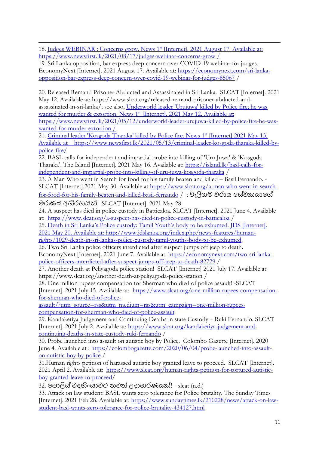18. [Judges WEBINAR : Concerns grow. News 1](../../../../../../Downloads/Judges%20WEBINAR%20:%20Concerns%20grow.%20News%201st%20%5bInternet%5d.%202021%20August%2017.%20Available%20at:%20%20https:/www.newsfirst.lk/2021/08/17/judges-webinar-concerns-grow%20/)<sup>st</sup> [Internet]. 2021 August 17. Available at: [https://www.newsfirst.lk/2021/08/17/judges-webinar-concerns-grow /](../../../../../../Downloads/Judges%20WEBINAR%20:%20Concerns%20grow.%20News%201st%20%5bInternet%5d.%202021%20August%2017.%20Available%20at:%20%20https:/www.newsfirst.lk/2021/08/17/judges-webinar-concerns-grow%20/) 

19. [Sri Lanka opposition, bar express deep concern over COVID-19 webinar for judges.](https://economynext.com/sri-lanka-opposition-bar-express-deep-concern-over-covid-19-webinar-for-judges-85067/)  [EconomyNext](https://economynext.com/sri-lanka-opposition-bar-express-deep-concern-over-covid-19-webinar-for-judges-85067/) [Internet]. 2021 August 17. Available at: [https://economynext.com/sri-lanka](https://economynext.com/sri-lanka-opposition-bar-express-deep-concern-over-covid-19-webinar-for-judges-85067)[opposition-bar-express-deep-concern-over-covid-19-webinar-for-judges-85067](https://economynext.com/sri-lanka-opposition-bar-express-deep-concern-over-covid-19-webinar-for-judges-85067) /

20. [Released Remand Prisoner Abducted and Assassinated in Sri Lanka. SLCAT](https://www.slcat.org/released-remand-prisoner-abducted-and-assassinated-in-sri-lanka/) [Internet]. 2021 May 12. Available at: https://www.slcat.org/released-remand-prisoner-abducted-andassassinated-in-sri-lanka/; see also, [Underworld leader 'Urujuwa' killed by Police fire; he was](../../../../../../Downloads/Underworld%20leader%20)  [wanted for murder & extortion. News 1](../../../../../../Downloads/Underworld%20leader%20)<sup>st</sup> [Internet]. 2021 May 12. Available at: [https://www.newsfirst.lk/2021/05/12/underworld-leader-urujuwa-killed-by-police-fire-he-was](../../../../../../Downloads/Underworld%20leader%20)[wanted-for-murder-extortion /](../../../../../../Downloads/Underworld%20leader%20) 

21. [Criminal leader 'Kosgoda Tharaka' killed by Police fire. News 1](../../../../../../Downloads/Criminal%20leader%20)<sup>st</sup> [Internet] 2021 May 13. [Available at https://www.newsfirst.lk/2021/05/13/criminal-leader-kosgoda-tharaka-killed-by](../../../../../../Downloads/Criminal%20leader%20)[police-fire/](../../../../../../Downloads/Criminal%20leader%20) 

22. [BASL calls for independent and impartial probe into killing of](https://island.lk/basl-calls-for-independent-and-impartial-probe-into-killing-of-uru-juwa-kosgoda-tharaka/) 'Uru Juwa' & 'Kosgoda [Tharaka'. The Island](https://island.lk/basl-calls-for-independent-and-impartial-probe-into-killing-of-uru-juwa-kosgoda-tharaka/) [Internet]. 2021 May 16. Available at: [https://island.lk/basl-calls-for](https://island.lk/basl-calls-for-independent-and-impartial-probe-into-killing-of-uru-juwa-kosgoda-tharaka)[independent-and-impartial-probe-into-killing-of-uru-juwa-kosgoda-tharaka](https://island.lk/basl-calls-for-independent-and-impartial-probe-into-killing-of-uru-juwa-kosgoda-tharaka) /

23. [A Man Who went in Search for food for his family beaten and killed](https://www.slcat.org/a-man-who-went-in-search-for-food-for-his-family-beaten-and-killed-basil-fernando/) – Basil Fernando. - [SLCAT](https://www.slcat.org/a-man-who-went-in-search-for-food-for-his-family-beaten-and-killed-basil-fernando/) [Internet].2021 May 30. Available at [https://www.slcat.org/a-man-who-went-in-search](https://www.slcat.org/a-man-who-went-in-search-for-food-for-his-family-beaten-and-killed-basil-fernando)[for-food-for-his-family-beaten-and-killed-basil-fernando](https://www.slcat.org/a-man-who-went-in-search-for-food-for-his-family-beaten-and-killed-basil-fernando) / ; වැලිගම වරාය [සේවකයාසේ](https://www.slcat.org/%e0%b7%80%e0%b7%90%e0%b6%bd%e0%b7%92%e0%b6%9c%e0%b6%b8-%e0%b7%80%e0%b6%bb%e0%b7%8f%e0%b6%ba-%e0%b7%83%e0%b7%9a%e0%b7%80%e0%b6%9a%e0%b6%ba%e0%b7%8f%e0%b6%9c%e0%b7%9a-%e0%b6%b8%e0%b6%bb%e0%b6%ab/)

මරණය [අභිරහසක්](https://www.slcat.org/%e0%b7%80%e0%b7%90%e0%b6%bd%e0%b7%92%e0%b6%9c%e0%b6%b8-%e0%b7%80%e0%b6%bb%e0%b7%8f%e0%b6%ba-%e0%b7%83%e0%b7%9a%e0%b7%80%e0%b6%9a%e0%b6%ba%e0%b7%8f%e0%b6%9c%e0%b7%9a-%e0%b6%b8%e0%b6%bb%e0%b6%ab/). SLCAT [Internet]. 2021 May 28

24. [A suspect has died in police custody in Batticaloa. SLCAT](https://www.slcat.org/a-suspect-has-died-in-police-custody-in-batticaloa/) [Internet]. 2021 June 4. Available at: <https://www.slcat.org/a-suspect-has-died-in-police-custody-in-batticaloa> /

25. [Death in Sri Lanka's Police custody: Tamil Youth's](../../../../../../Downloads/Death%20in%20Sri%20Lanka) body to be exhumed. JDS [Internet]. [2021 May 20. Available at: http://www.jdslanka.org/index.php/news-features/human-](../../../../../../Downloads/Death%20in%20Sri%20Lanka)

[rights/1029-death-in-sri-lankas-police-custody-tamil-youths-body-to-be-exhumed](../../../../../../Downloads/Death%20in%20Sri%20Lanka)  26. [Two Sri Lanka police officers interdicted after suspect jumps off jeep to death.](https://economynext.com/two-sri-lanka-police-officers-interdicted-after-suspect-jumps-off-jeep-to-death-82729/) 

[EconomyNext](https://economynext.com/two-sri-lanka-police-officers-interdicted-after-suspect-jumps-off-jeep-to-death-82729/) [Internet]. 2021 June 7. Available at: [https://economynext.com/two-sri-lanka](https://economynext.com/two-sri-lanka-police-officers-interdicted-after-suspect-jumps-off-jeep-to-death-82729)[police-officers-interdicted-after-suspect-jumps-off-jeep-to-death-82729](https://economynext.com/two-sri-lanka-police-officers-interdicted-after-suspect-jumps-off-jeep-to-death-82729) /

27. [Another death at Peliyagoda police station! SLCAT](https://www.slcat.org/another-death-at-peliyagoda-police-station/) [Internet] 2021 July 17. Available at: https://www.slcat.org/another-death-at-peliyagoda-police-station /

28. [One million rupees compensation for Sherman who died of police assault! -SLCAT](https://www.slcat.org/one-million-rupees-compensation-for-sherman-who-died-of-police-assault/) [Internet]. 2021 July 15. Available at: [https://www.slcat.org/one-million-rupees-compensation](https://www.slcat.org/one-million-rupees-compensation-for-sherman-who-died-of-police-assault/?utm_source=rss&utm_medium=rss&utm_campaign=one-million-rupees-compensation-for-sherman-who-died-of-police-assault)[for-sherman-who-died-of-police-](https://www.slcat.org/one-million-rupees-compensation-for-sherman-who-died-of-police-assault/?utm_source=rss&utm_medium=rss&utm_campaign=one-million-rupees-compensation-for-sherman-who-died-of-police-assault)

[assault/?utm\\_source=rss&utm\\_medium=rss&utm\\_campaign=one-million-rupees](https://www.slcat.org/one-million-rupees-compensation-for-sherman-who-died-of-police-assault/?utm_source=rss&utm_medium=rss&utm_campaign=one-million-rupees-compensation-for-sherman-who-died-of-police-assault)[compensation-for-sherman-who-died-of-police-assault](https://www.slcat.org/one-million-rupees-compensation-for-sherman-who-died-of-police-assault/?utm_source=rss&utm_medium=rss&utm_campaign=one-million-rupees-compensation-for-sherman-who-died-of-police-assault)

29. [Kandaketiya Judgement and Continuing Deaths in state Custody](https://www.slcat.org/kandaketiya-judgement-and-continuing-deaths-in-state-custody-ruki-fernando/) – Ruki Fernando. SLCAT [Internet]. 2021 July 2. Available at: [https://www.slcat.org/kandaketiya-judgement-and](https://www.slcat.org/kandaketiya-judgement-and-continuing-deaths-in-state-custody-ruki-fernando)[continuing-deaths-in-state-custody-ruki-fernando](https://www.slcat.org/kandaketiya-judgement-and-continuing-deaths-in-state-custody-ruki-fernando) /

30. [Probe launched into assault on autistic boy by Police. Colombo Gazette](https://colombogazette.com/2020/06/04/probe-launched-into-assault-on-autistic-boy-by-police/) [Internet]. 2020 June 4. Available at : [https://colombogazette.com/2020/06/04/probe-launched-into-assault](https://colombogazette.com/2020/06/04/probe-launched-into-assault-on-autistic-boy-by-police)[on-autistic-boy-by-police](https://colombogazette.com/2020/06/04/probe-launched-into-assault-on-autistic-boy-by-police) /

31[.Human rights petition of harassed autistic boy granted leave to proceed. SLCAT](https://www.slcat.org/human-rights-petition-for-tortured-autistic-boy-granted-leave-to-proceed/) [Internet]. 2021 April 2. Available at: [https://www.slcat.org/human-rights-petition-for-tortured-autistic](https://www.slcat.org/human-rights-petition-for-tortured-autistic-boy-granted-leave-to-proceed)[boy-granted-leave-to-proceed/](https://www.slcat.org/human-rights-petition-for-tortured-autistic-boy-granted-leave-to-proceed)

32. පොලිස් වදහිංසාවට තවත් [උදාහරණයක්](https://www.slcat.org/%e0%b6%b4%e0%b7%9c%e0%b6%bd%e0%b7%92%e0%b7%83%e0%b7%8a-%e0%b7%80%e0%b6%af%e0%b7%84%e0%b7%92%e0%b6%82%e0%b7%83%e0%b7%8f%e0%b7%80%e0%b6%a7-%e0%b6%ad%e0%b7%80%e0%b6%ad%e0%b7%8a-%e0%b6%8b%e0%b6%af/)! - [slcat](https://www.slcat.org/%e0%b6%b4%e0%b7%9c%e0%b6%bd%e0%b7%92%e0%b7%83%e0%b7%8a-%e0%b7%80%e0%b6%af%e0%b7%84%e0%b7%92%e0%b6%82%e0%b7%83%e0%b7%8f%e0%b7%80%e0%b6%a7-%e0%b6%ad%e0%b7%80%e0%b6%ad%e0%b7%8a-%e0%b6%8b%e0%b6%af/) (n.d.)

33. [Attack on law student: BASL wants zero tolerance for Police brutality. The Sunday Times](https://www.sundaytimes.lk/210228/news/attack-on-law-student-basl-wants-zero-tolerance-for-police-brutality-434127.html) [Internet]. 2021 Feb 28. Available at: [https://www.sundaytimes.lk/210228/news/attack-on-law](https://www.sundaytimes.lk/210228/news/attack-on-law-student-basl-wants-zero-tolerance-for-police-brutality-434127.html)[student-basl-wants-zero-tolerance-for-police-brutality-434127.html](https://www.sundaytimes.lk/210228/news/attack-on-law-student-basl-wants-zero-tolerance-for-police-brutality-434127.html)